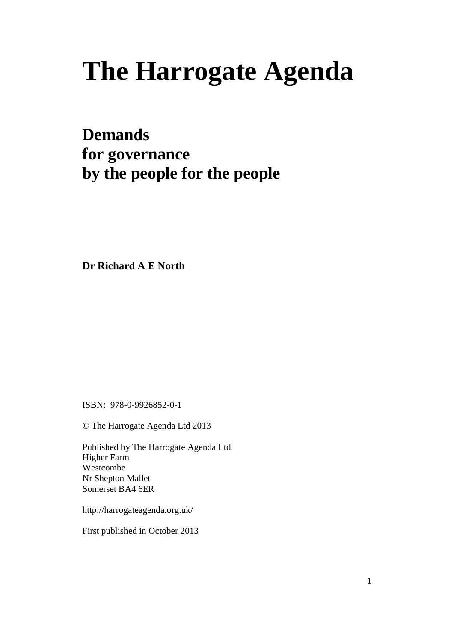# **The Harrogate Agenda**

### **Demands for governance by the people for the people**

**Dr Richard A E North**

ISBN: 978-0-9926852-0-1

© The Harrogate Agenda Ltd 2013

Published by The Harrogate Agenda Ltd Higher Farm Westcombe Nr Shepton Mallet Somerset BA4 6ER

http://harrogateagenda.org.uk/

First published in October 2013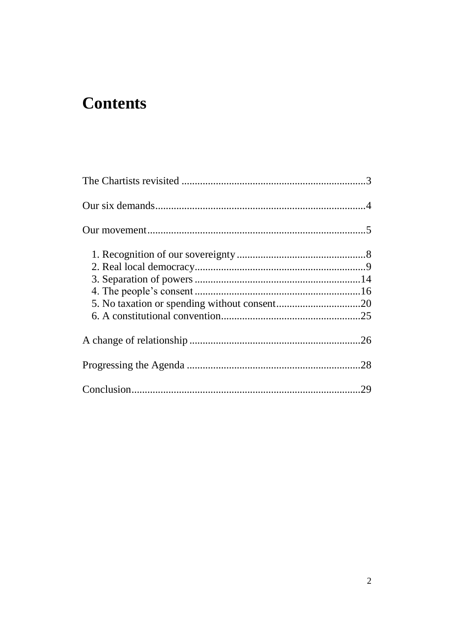### **Contents**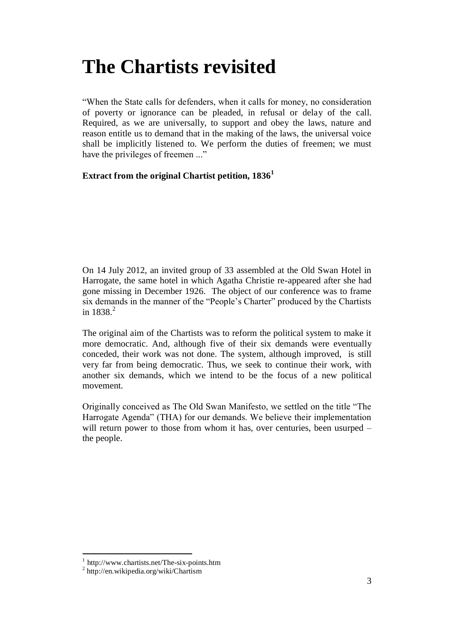### <span id="page-2-0"></span>**The Chartists revisited**

"When the State calls for defenders, when it calls for money, no consideration of poverty or ignorance can be pleaded, in refusal or delay of the call. Required, as we are universally, to support and obey the laws, nature and reason entitle us to demand that in the making of the laws, the universal voice shall be implicitly listened to. We perform the duties of freemen; we must have the privileges of freemen ..."

#### **Extract from the original Chartist petition, 1836<sup>1</sup>**

On 14 July 2012, an invited group of 33 assembled at the Old Swan Hotel in Harrogate, the same hotel in which Agatha Christie re-appeared after she had gone missing in December 1926. The object of our conference was to frame six demands in the manner of the "People's Charter" produced by the Chartists in  $1838.<sup>2</sup>$ 

The original aim of the Chartists was to reform the political system to make it more democratic. And, although five of their six demands were eventually conceded, their work was not done. The system, although improved, is still very far from being democratic. Thus, we seek to continue their work, with another six demands, which we intend to be the focus of a new political movement.

Originally conceived as The Old Swan Manifesto, we settled on the title "The Harrogate Agenda" (THA) for our demands. We believe their implementation will return power to those from whom it has, over centuries, been usurped – the people.

l

<sup>1</sup> http://www.chartists.net/The-six-points.htm

<sup>2</sup> http://en.wikipedia.org/wiki/Chartism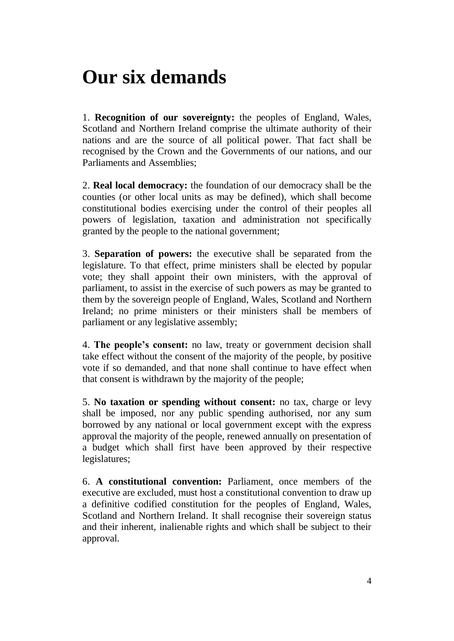### <span id="page-3-0"></span>**Our six demands**

1. **Recognition of our sovereignty:** the peoples of England, Wales, Scotland and Northern Ireland comprise the ultimate authority of their nations and are the source of all political power. That fact shall be recognised by the Crown and the Governments of our nations, and our Parliaments and Assemblies;

2. **Real local democracy:** the foundation of our democracy shall be the counties (or other local units as may be defined), which shall become constitutional bodies exercising under the control of their peoples all powers of legislation, taxation and administration not specifically granted by the people to the national government;

3. **Separation of powers:** the executive shall be separated from the legislature. To that effect, prime ministers shall be elected by popular vote; they shall appoint their own ministers, with the approval of parliament, to assist in the exercise of such powers as may be granted to them by the sovereign people of England, Wales, Scotland and Northern Ireland; no prime ministers or their ministers shall be members of parliament or any legislative assembly;

4. **The people's consent:** no law, treaty or government decision shall take effect without the consent of the majority of the people, by positive vote if so demanded, and that none shall continue to have effect when that consent is withdrawn by the majority of the people;

5. **No taxation or spending without consent:** no tax, charge or levy shall be imposed, nor any public spending authorised, nor any sum borrowed by any national or local government except with the express approval the majority of the people, renewed annually on presentation of a budget which shall first have been approved by their respective legislatures;

6. **A constitutional convention:** Parliament, once members of the executive are excluded, must host a constitutional convention to draw up a definitive codified constitution for the peoples of England, Wales, Scotland and Northern Ireland. It shall recognise their sovereign status and their inherent, inalienable rights and which shall be subject to their approval.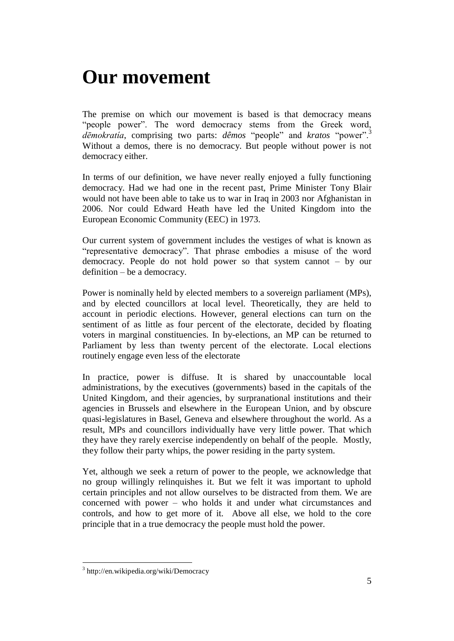### <span id="page-4-0"></span>**Our movement**

The premise on which our movement is based is that democracy means "people power". The word democracy stems from the Greek word, *dēmokratía*, comprising two parts: *dêmos* "people" and *kratos* "power".<sup>3</sup> Without a demos, there is no democracy. But people without power is not democracy either.

In terms of our definition, we have never really enjoyed a fully functioning democracy. Had we had one in the recent past, Prime Minister Tony Blair would not have been able to take us to war in Iraq in 2003 nor Afghanistan in 2006. Nor could Edward Heath have led the United Kingdom into the European Economic Community (EEC) in 1973.

Our current system of government includes the vestiges of what is known as "representative democracy". That phrase embodies a misuse of the word democracy. People do not hold power so that system cannot – by our definition – be a democracy.

Power is nominally held by elected members to a sovereign parliament (MPs), and by elected councillors at local level. Theoretically, they are held to account in periodic elections. However, general elections can turn on the sentiment of as little as four percent of the electorate, decided by floating voters in marginal constituencies. In by-elections, an MP can be returned to Parliament by less than twenty percent of the electorate. Local elections routinely engage even less of the electorate

In practice, power is diffuse. It is shared by unaccountable local administrations, by the executives (governments) based in the capitals of the United Kingdom, and their agencies, by surpranational institutions and their agencies in Brussels and elsewhere in the European Union, and by obscure quasi-legislatures in Basel, Geneva and elsewhere throughout the world. As a result, MPs and councillors individually have very little power. That which they have they rarely exercise independently on behalf of the people. Mostly, they follow their party whips, the power residing in the party system.

Yet, although we seek a return of power to the people, we acknowledge that no group willingly relinquishes it. But we felt it was important to uphold certain principles and not allow ourselves to be distracted from them. We are concerned with power – who holds it and under what circumstances and controls, and how to get more of it. Above all else, we hold to the core principle that in a true democracy the people must hold the power.

<sup>3</sup> http://en.wikipedia.org/wiki/Democracy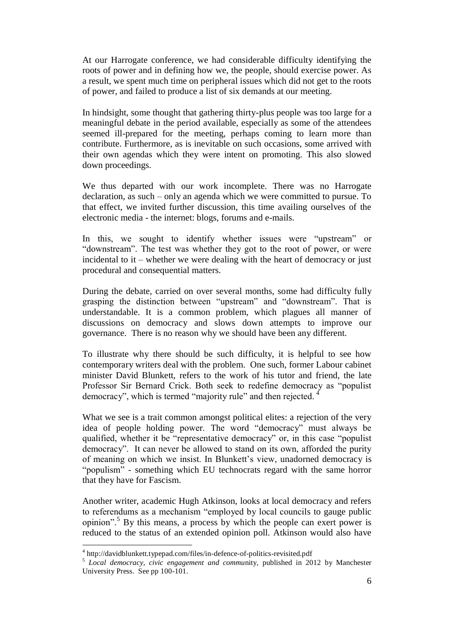At our Harrogate conference, we had considerable difficulty identifying the roots of power and in defining how we, the people, should exercise power. As a result, we spent much time on peripheral issues which did not get to the roots of power, and failed to produce a list of six demands at our meeting.

In hindsight, some thought that gathering thirty-plus people was too large for a meaningful debate in the period available, especially as some of the attendees seemed ill-prepared for the meeting, perhaps coming to learn more than contribute. Furthermore, as is inevitable on such occasions, some arrived with their own agendas which they were intent on promoting. This also slowed down proceedings.

We thus departed with our work incomplete. There was no Harrogate declaration, as such – only an agenda which we were committed to pursue. To that effect, we invited further discussion, this time availing ourselves of the electronic media - the internet: blogs, forums and e-mails.

In this, we sought to identify whether issues were "upstream" or "downstream". The test was whether they got to the root of power, or were incidental to it – whether we were dealing with the heart of democracy or just procedural and consequential matters.

During the debate, carried on over several months, some had difficulty fully grasping the distinction between "upstream" and "downstream". That is understandable. It is a common problem, which plagues all manner of discussions on democracy and slows down attempts to improve our governance. There is no reason why we should have been any different.

To illustrate why there should be such difficulty, it is helpful to see how contemporary writers deal with the problem. One such, former Labour cabinet minister David Blunkett, refers to the work of his tutor and friend, the late Professor Sir Bernard Crick. Both seek to redefine democracy as "populist democracy", which is termed "majority rule" and then rejected. <sup>4</sup>

What we see is a trait common amongst political elites: a rejection of the very idea of people holding power. The word "democracy" must always be qualified, whether it be "representative democracy" or, in this case "populist democracy". It can never be allowed to stand on its own, afforded the purity of meaning on which we insist. In Blunkett's view, unadorned democracy is "populism" - something which EU technocrats regard with the same horror that they have for Fascism.

Another writer, academic Hugh Atkinson, looks at local democracy and refers to referendums as a mechanism "employed by local councils to gauge public opinion".<sup>5</sup> By this means, a process by which the people can exert power is reduced to the status of an extended opinion poll. Atkinson would also have

<sup>&</sup>lt;sup>4</sup> http://davidblunkett.typepad.com/files/in-defence-of-politics-revisited.pdf

<sup>&</sup>lt;sup>5</sup> Local democracy, civic engagement and community, published in 2012 by Manchester University Press. See pp 100-101.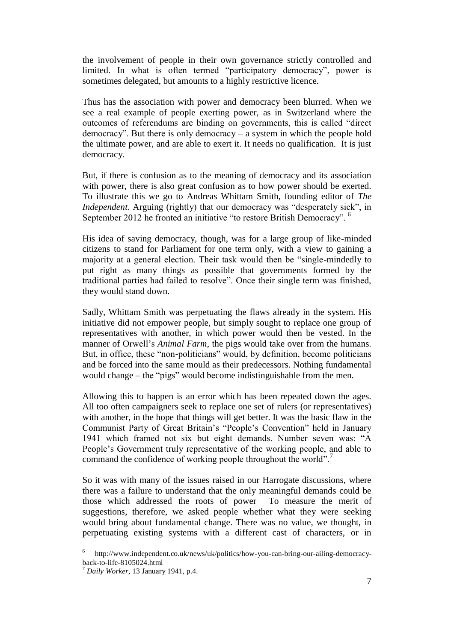the involvement of people in their own governance strictly controlled and limited. In what is often termed "participatory democracy", power is sometimes delegated, but amounts to a highly restrictive licence.

Thus has the association with power and democracy been blurred. When we see a real example of people exerting power, as in Switzerland where the outcomes of referendums are binding on governments, this is called "direct democracy". But there is only democracy – a system in which the people hold the ultimate power, and are able to exert it. It needs no qualification. It is just democracy.

But, if there is confusion as to the meaning of democracy and its association with power, there is also great confusion as to how power should be exerted. To illustrate this we go to Andreas Whittam Smith, founding editor of *The Independent*. Arguing (rightly) that our democracy was "desperately sick", in September 2012 he fronted an initiative "to restore British Democracy". <sup>6</sup>

His idea of saving democracy, though, was for a large group of like-minded citizens to stand for Parliament for one term only, with a view to gaining a majority at a general election. Their task would then be "single-mindedly to put right as many things as possible that governments formed by the traditional parties had failed to resolve". Once their single term was finished, they would stand down.

Sadly, Whittam Smith was perpetuating the flaws already in the system. His initiative did not empower people, but simply sought to replace one group of representatives with another, in which power would then be vested. In the manner of Orwell's *Animal Farm*, the pigs would take over from the humans. But, in office, these "non-politicians" would, by definition, become politicians and be forced into the same mould as their predecessors. Nothing fundamental would change – the "pigs" would become indistinguishable from the men.

Allowing this to happen is an error which has been repeated down the ages. All too often campaigners seek to replace one set of rulers (or representatives) with another, in the hope that things will get better. It was the basic flaw in the Communist Party of Great Britain's "People's Convention" held in January 1941 which framed not six but eight demands. Number seven was: "A People's Government truly representative of the working people, and able to command the confidence of working people throughout the world".

So it was with many of the issues raised in our Harrogate discussions, where there was a failure to understand that the only meaningful demands could be those which addressed the roots of power To measure the merit of suggestions, therefore, we asked people whether what they were seeking would bring about fundamental change. There was no value, we thought, in perpetuating existing systems with a different cast of characters, or in

<sup>6</sup> http://www.independent.co.uk/news/uk/politics/how-you-can-bring-our-ailing-democracyback-to-life-8105024.html

<sup>7</sup> *Daily Worker*, 13 January 1941, p.4.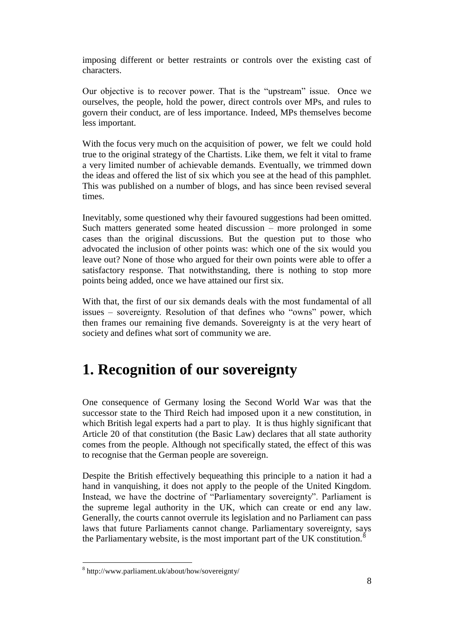imposing different or better restraints or controls over the existing cast of characters.

Our objective is to recover power. That is the "upstream" issue. Once we ourselves, the people, hold the power, direct controls over MPs, and rules to govern their conduct, are of less importance. Indeed, MPs themselves become less important.

With the focus very much on the acquisition of power, we felt we could hold true to the original strategy of the Chartists. Like them, we felt it vital to frame a very limited number of achievable demands. Eventually, we trimmed down the ideas and offered the list of six which you see at the head of this pamphlet. This was published on a number of blogs, and has since been revised several times.

Inevitably, some questioned why their favoured suggestions had been omitted. Such matters generated some heated discussion – more prolonged in some cases than the original discussions. But the question put to those who advocated the inclusion of other points was: which one of the six would you leave out? None of those who argued for their own points were able to offer a satisfactory response. That notwithstanding, there is nothing to stop more points being added, once we have attained our first six.

With that, the first of our six demands deals with the most fundamental of all issues – sovereignty. Resolution of that defines who "owns" power, which then frames our remaining five demands. Sovereignty is at the very heart of society and defines what sort of community we are.

### <span id="page-7-0"></span>**1. Recognition of our sovereignty**

One consequence of Germany losing the Second World War was that the successor state to the Third Reich had imposed upon it a new constitution, in which British legal experts had a part to play. It is thus highly significant that Article 20 of that constitution (the Basic Law) declares that all state authority comes from the people. Although not specifically stated, the effect of this was to recognise that the German people are sovereign.

Despite the British effectively bequeathing this principle to a nation it had a hand in vanquishing, it does not apply to the people of the United Kingdom. Instead, we have the doctrine of "Parliamentary sovereignty". Parliament is the supreme legal authority in the UK, which can create or end any law. Generally, the courts cannot overrule its legislation and no Parliament can pass laws that future Parliaments cannot change. Parliamentary sovereignty, says the Parliamentary website, is the most important part of the UK constitution.<sup>8</sup>

<sup>8</sup> http://www.parliament.uk/about/how/sovereignty/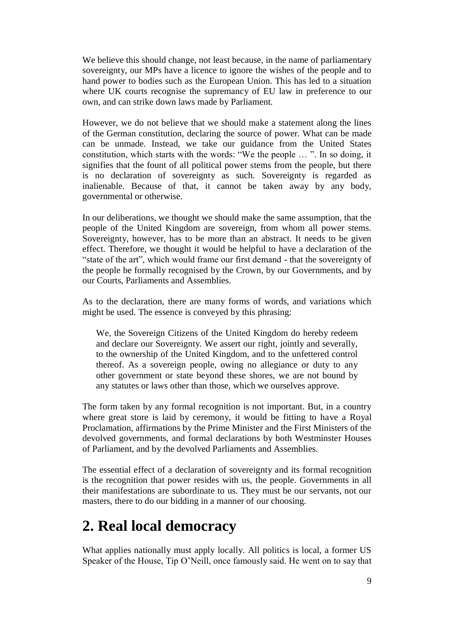We believe this should change, not least because, in the name of parliamentary sovereignty, our MPs have a licence to ignore the wishes of the people and to hand power to bodies such as the European Union. This has led to a situation where UK courts recognise the supremancy of EU law in preference to our own, and can strike down laws made by Parliament.

However, we do not believe that we should make a statement along the lines of the German constitution, declaring the source of power. What can be made can be unmade. Instead, we take our guidance from the United States constitution, which starts with the words: "We the people … ". In so doing, it signifies that the fount of all political power stems from the people, but there is no declaration of sovereignty as such. Sovereignty is regarded as inalienable. Because of that, it cannot be taken away by any body, governmental or otherwise.

In our deliberations, we thought we should make the same assumption, that the people of the United Kingdom are sovereign, from whom all power stems. Sovereignty, however, has to be more than an abstract. It needs to be given effect. Therefore, we thought it would be helpful to have a declaration of the "state of the art", which would frame our first demand - that the sovereignty of the people be formally recognised by the Crown, by our Governments, and by our Courts, Parliaments and Assemblies.

As to the declaration, there are many forms of words, and variations which might be used. The essence is conveyed by this phrasing:

We, the Sovereign Citizens of the United Kingdom do hereby redeem and declare our Sovereignty. We assert our right, jointly and severally, to the ownership of the United Kingdom, and to the unfettered control thereof. As a sovereign people, owing no allegiance or duty to any other government or state beyond these shores, we are not bound by any statutes or laws other than those, which we ourselves approve.

The form taken by any formal recognition is not important. But, in a country where great store is laid by ceremony, it would be fitting to have a Royal Proclamation, affirmations by the Prime Minister and the First Ministers of the devolved governments, and formal declarations by both Westminster Houses of Parliament, and by the devolved Parliaments and Assemblies.

The essential effect of a declaration of sovereignty and its formal recognition is the recognition that power resides with us, the people. Governments in all their manifestations are subordinate to us. They must be our servants, not our masters, there to do our bidding in a manner of our choosing.

#### <span id="page-8-0"></span>**2. Real local democracy**

What applies nationally must apply locally. All politics is local, a former US Speaker of the House, Tip O'Neill, once famously said. He went on to say that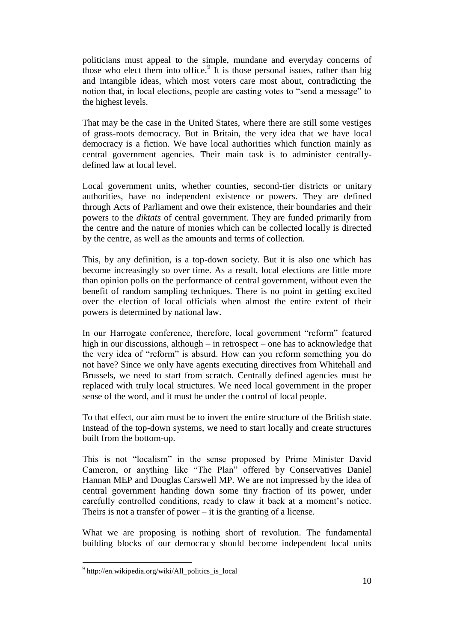politicians must appeal to the simple, mundane and everyday concerns of those who elect them into office.<sup>9</sup> It is those personal issues, rather than big and intangible ideas, which most voters care most about, contradicting the notion that, in local elections, people are casting votes to "send a message" to the highest levels.

That may be the case in the United States, where there are still some vestiges of grass-roots democracy. But in Britain, the very idea that we have local democracy is a fiction. We have local authorities which function mainly as central government agencies. Their main task is to administer centrallydefined law at local level.

Local government units, whether counties, second-tier districts or unitary authorities, have no independent existence or powers. They are defined through Acts of Parliament and owe their existence, their boundaries and their powers to the *diktats* of central government. They are funded primarily from the centre and the nature of monies which can be collected locally is directed by the centre, as well as the amounts and terms of collection.

This, by any definition, is a top-down society. But it is also one which has become increasingly so over time. As a result, local elections are little more than opinion polls on the performance of central government, without even the benefit of random sampling techniques. There is no point in getting excited over the election of local officials when almost the entire extent of their powers is determined by national law.

In our Harrogate conference, therefore, local government "reform" featured high in our discussions, although – in retrospect – one has to acknowledge that the very idea of "reform" is absurd. How can you reform something you do not have? Since we only have agents executing directives from Whitehall and Brussels, we need to start from scratch. Centrally defined agencies must be replaced with truly local structures. We need local government in the proper sense of the word, and it must be under the control of local people.

To that effect, our aim must be to invert the entire structure of the British state. Instead of the top-down systems, we need to start locally and create structures built from the bottom-up.

This is not "localism" in the sense proposed by Prime Minister David Cameron, or anything like "The Plan" offered by Conservatives Daniel Hannan MEP and Douglas Carswell MP. We are not impressed by the idea of central government handing down some tiny fraction of its power, under carefully controlled conditions, ready to claw it back at a moment's notice. Theirs is not a transfer of power  $-$  it is the granting of a license.

What we are proposing is nothing short of revolution. The fundamental building blocks of our democracy should become independent local units

<sup>&</sup>lt;sup>9</sup> http://en.wikipedia.org/wiki/All\_politics\_is\_local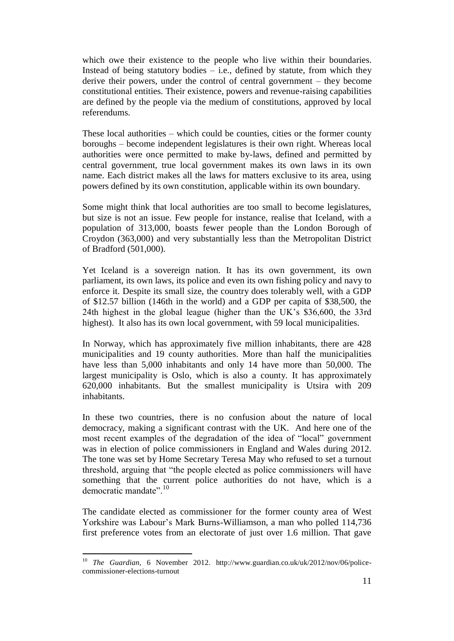which owe their existence to the people who live within their boundaries. Instead of being statutory bodies  $-$  i.e., defined by statute, from which they derive their powers, under the control of central government – they become constitutional entities. Their existence, powers and revenue-raising capabilities are defined by the people via the medium of constitutions, approved by local referendums.

These local authorities – which could be counties, cities or the former county boroughs – become independent legislatures is their own right. Whereas local authorities were once permitted to make by-laws, defined and permitted by central government, true local government makes its own laws in its own name. Each district makes all the laws for matters exclusive to its area, using powers defined by its own constitution, applicable within its own boundary.

Some might think that local authorities are too small to become legislatures, but size is not an issue. Few people for instance, realise that Iceland, with a population of 313,000, boasts fewer people than the London Borough of Croydon (363,000) and very substantially less than the Metropolitan District of Bradford (501,000).

Yet Iceland is a sovereign nation. It has its own government, its own parliament, its own laws, its police and even its own fishing policy and navy to enforce it. Despite its small size, the country does tolerably well, with a GDP of \$12.57 billion (146th in the world) and a GDP per capita of \$38,500, the 24th highest in the global league (higher than the UK's \$36,600, the 33rd highest). It also has its own local government, with 59 local municipalities.

In Norway, which has approximately five million inhabitants, there are 428 municipalities and 19 county authorities. More than half the municipalities have less than 5,000 inhabitants and only 14 have more than 50,000. The largest municipality is Oslo, which is also a county. It has approximately 620,000 inhabitants. But the smallest municipality is Utsira with 209 inhabitants.

In these two countries, there is no confusion about the nature of local democracy, making a significant contrast with the UK. And here one of the most recent examples of the degradation of the idea of "local" government was in election of police commissioners in England and Wales during 2012. The tone was set by Home Secretary Teresa May who refused to set a turnout threshold, arguing that "the people elected as police commissioners will have something that the current police authorities do not have, which is a democratic mandate".<sup>10</sup>

The candidate elected as commissioner for the former county area of West Yorkshire was Labour's Mark Burns-Williamson, a man who polled 114,736 first preference votes from an electorate of just over 1.6 million. That gave

l

<sup>10</sup> *The Guardian*, 6 November 2012. http://www.guardian.co.uk/uk/2012/nov/06/policecommissioner-elections-turnout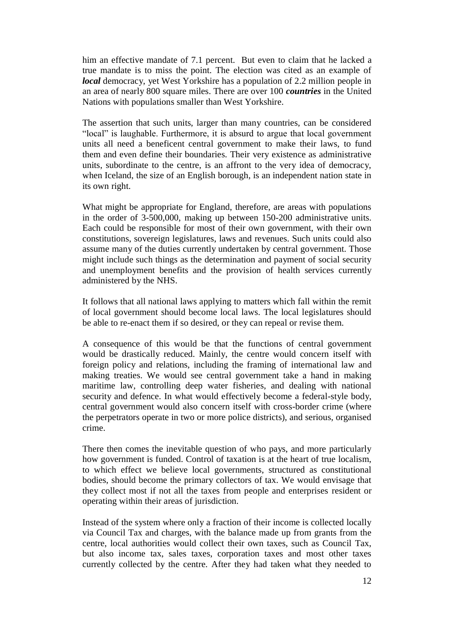him an effective mandate of 7.1 percent. But even to claim that he lacked a true mandate is to miss the point. The election was cited as an example of *local* democracy, yet West Yorkshire has a population of 2.2 million people in an area of nearly 800 square miles. There are over 100 *countries* in the United Nations with populations smaller than West Yorkshire.

The assertion that such units, larger than many countries, can be considered "local" is laughable. Furthermore, it is absurd to argue that local government units all need a beneficent central government to make their laws, to fund them and even define their boundaries. Their very existence as administrative units, subordinate to the centre, is an affront to the very idea of democracy, when Iceland, the size of an English borough, is an independent nation state in its own right.

What might be appropriate for England, therefore, are areas with populations in the order of 3-500,000, making up between 150-200 administrative units. Each could be responsible for most of their own government, with their own constitutions, sovereign legislatures, laws and revenues. Such units could also assume many of the duties currently undertaken by central government. Those might include such things as the determination and payment of social security and unemployment benefits and the provision of health services currently administered by the NHS.

It follows that all national laws applying to matters which fall within the remit of local government should become local laws. The local legislatures should be able to re-enact them if so desired, or they can repeal or revise them.

A consequence of this would be that the functions of central government would be drastically reduced. Mainly, the centre would concern itself with foreign policy and relations, including the framing of international law and making treaties. We would see central government take a hand in making maritime law, controlling deep water fisheries, and dealing with national security and defence. In what would effectively become a federal-style body, central government would also concern itself with cross-border crime (where the perpetrators operate in two or more police districts), and serious, organised crime.

There then comes the inevitable question of who pays, and more particularly how government is funded. Control of taxation is at the heart of true localism, to which effect we believe local governments, structured as constitutional bodies, should become the primary collectors of tax. We would envisage that they collect most if not all the taxes from people and enterprises resident or operating within their areas of jurisdiction.

Instead of the system where only a fraction of their income is collected locally via Council Tax and charges, with the balance made up from grants from the centre, local authorities would collect their own taxes, such as Council Tax, but also income tax, sales taxes, corporation taxes and most other taxes currently collected by the centre. After they had taken what they needed to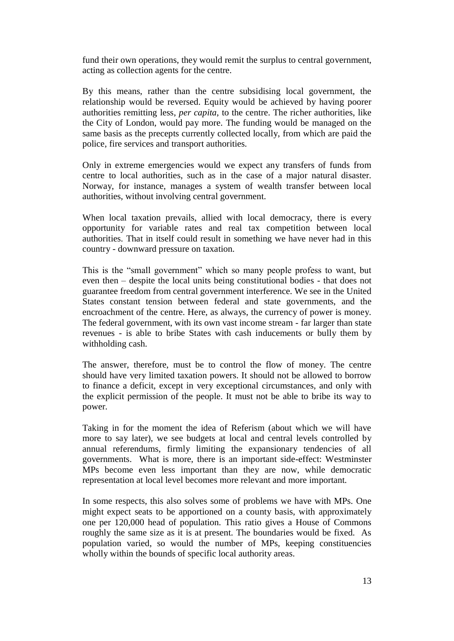fund their own operations, they would remit the surplus to central government, acting as collection agents for the centre.

By this means, rather than the centre subsidising local government, the relationship would be reversed. Equity would be achieved by having poorer authorities remitting less, *per capita*, to the centre. The richer authorities, like the City of London, would pay more. The funding would be managed on the same basis as the precepts currently collected locally, from which are paid the police, fire services and transport authorities.

Only in extreme emergencies would we expect any transfers of funds from centre to local authorities, such as in the case of a major natural disaster. Norway, for instance, manages a system of wealth transfer between local authorities, without involving central government.

When local taxation prevails, allied with local democracy, there is every opportunity for variable rates and real tax competition between local authorities. That in itself could result in something we have never had in this country - downward pressure on taxation.

This is the "small government" which so many people profess to want, but even then – despite the local units being constitutional bodies - that does not guarantee freedom from central government interference. We see in the United States constant tension between federal and state governments, and the encroachment of the centre. Here, as always, the currency of power is money. The federal government, with its own vast income stream - far larger than state revenues - is able to bribe States with cash inducements or bully them by withholding cash.

The answer, therefore, must be to control the flow of money. The centre should have very limited taxation powers. It should not be allowed to borrow to finance a deficit, except in very exceptional circumstances, and only with the explicit permission of the people. It must not be able to bribe its way to power.

Taking in for the moment the idea of Referism (about which we will have more to say later), we see budgets at local and central levels controlled by annual referendums, firmly limiting the expansionary tendencies of all governments. What is more, there is an important side-effect: Westminster MPs become even less important than they are now, while democratic representation at local level becomes more relevant and more important.

In some respects, this also solves some of problems we have with MPs. One might expect seats to be apportioned on a county basis, with approximately one per 120,000 head of population. This ratio gives a House of Commons roughly the same size as it is at present. The boundaries would be fixed. As population varied, so would the number of MPs, keeping constituencies wholly within the bounds of specific local authority areas.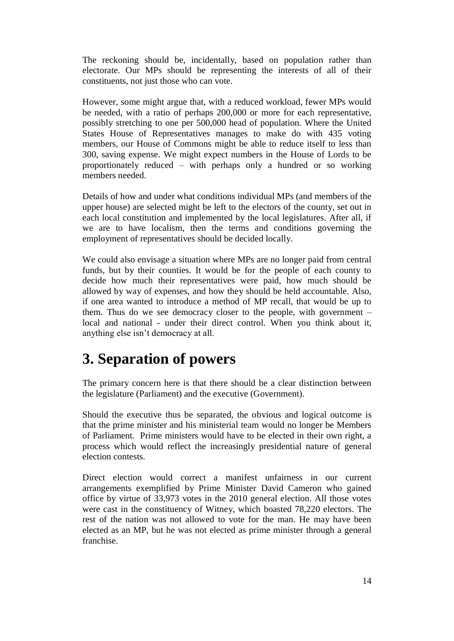The reckoning should be, incidentally, based on population rather than electorate. Our MPs should be representing the interests of all of their constituents, not just those who can vote.

However, some might argue that, with a reduced workload, fewer MPs would be needed, with a ratio of perhaps 200,000 or more for each representative, possibly stretching to one per 500,000 head of population. Where the United States House of Representatives manages to make do with 435 voting members, our House of Commons might be able to reduce itself to less than 300, saving expense. We might expect numbers in the House of Lords to be proportionately reduced – with perhaps only a hundred or so working members needed.

Details of how and under what conditions individual MPs (and members of the upper house) are selected might be left to the electors of the county, set out in each local constitution and implemented by the local legislatures. After all, if we are to have localism, then the terms and conditions governing the employment of representatives should be decided locally.

We could also envisage a situation where MPs are no longer paid from central funds, but by their counties. It would be for the people of each county to decide how much their representatives were paid, how much should be allowed by way of expenses, and how they should be held accountable. Also, if one area wanted to introduce a method of MP recall, that would be up to them. Thus do we see democracy closer to the people, with government – local and national - under their direct control. When you think about it, anything else isn't democracy at all.

#### <span id="page-13-0"></span>**3. Separation of powers**

The primary concern here is that there should be a clear distinction between the legislature (Parliament) and the executive (Government).

Should the executive thus be separated, the obvious and logical outcome is that the prime minister and his ministerial team would no longer be Members of Parliament. Prime ministers would have to be elected in their own right, a process which would reflect the increasingly presidential nature of general election contests.

Direct election would correct a manifest unfairness in our current arrangements exemplified by Prime Minister David Cameron who gained office by virtue of 33,973 votes in the 2010 general election. All those votes were cast in the constituency of Witney, which boasted 78,220 electors. The rest of the nation was not allowed to vote for the man. He may have been elected as an MP, but he was not elected as prime minister through a general franchise.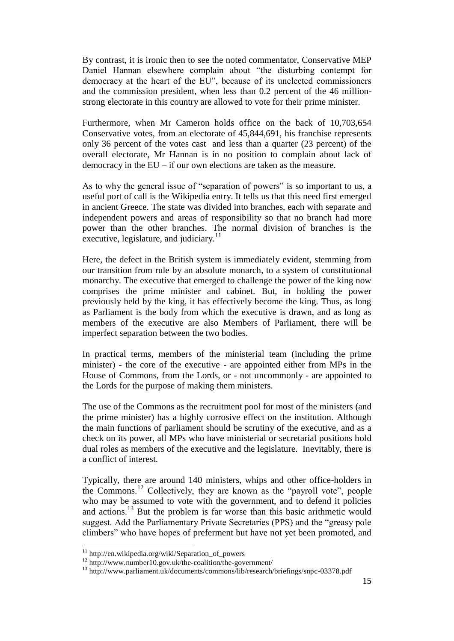By contrast, it is ironic then to see the noted commentator, Conservative MEP Daniel Hannan elsewhere complain about "the disturbing contempt for democracy at the heart of the EU", because of its unelected commissioners and the commission president, when less than 0.2 percent of the 46 millionstrong electorate in this country are allowed to vote for their prime minister.

Furthermore, when Mr Cameron holds office on the back of 10,703,654 Conservative votes, from an electorate of 45,844,691, his franchise represents only 36 percent of the votes cast and less than a quarter (23 percent) of the overall electorate, Mr Hannan is in no position to complain about lack of democracy in the EU – if our own elections are taken as the measure.

As to why the general issue of "separation of powers" is so important to us, a useful port of call is the Wikipedia entry. It tells us that this need first emerged in ancient Greece. The state was divided into branches, each with separate and independent powers and areas of responsibility so that no branch had more power than the other branches. The normal division of branches is the executive, legislature, and judiciary.<sup>11</sup>

Here, the defect in the British system is immediately evident, stemming from our transition from rule by an absolute monarch, to a system of constitutional monarchy. The executive that emerged to challenge the power of the king now comprises the prime minister and cabinet. But, in holding the power previously held by the king, it has effectively become the king. Thus, as long as Parliament is the body from which the executive is drawn, and as long as members of the executive are also Members of Parliament, there will be imperfect separation between the two bodies.

In practical terms, members of the ministerial team (including the prime minister) - the core of the executive - are appointed either from MPs in the House of Commons, from the Lords, or - not uncommonly - are appointed to the Lords for the purpose of making them ministers.

The use of the Commons as the recruitment pool for most of the ministers (and the prime minister) has a highly corrosive effect on the institution. Although the main functions of parliament should be scrutiny of the executive, and as a check on its power, all MPs who have ministerial or secretarial positions hold dual roles as members of the executive and the legislature. Inevitably, there is a conflict of interest.

Typically, there are around 140 ministers, whips and other office-holders in the Commons.<sup>12</sup> Collectively, they are known as the "payroll vote", people who may be assumed to vote with the government, and to defend it policies and actions.<sup>13</sup> But the problem is far worse than this basic arithmetic would suggest. Add the Parliamentary Private Secretaries (PPS) and the "greasy pole climbers" who have hopes of preferment but have not yet been promoted, and

<sup>&</sup>lt;sup>11</sup> http://en.wikipedia.org/wiki/Separation\_of\_powers

<sup>&</sup>lt;sup>12</sup> http://www.number10.gov.uk/the-coalition/the-government/

<sup>&</sup>lt;sup>13</sup> http://www.parliament.uk/documents/commons/lib/research/briefings/snpc-03378.pdf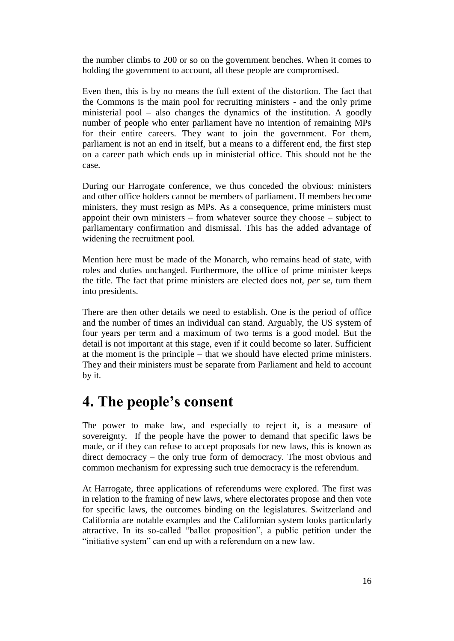the number climbs to 200 or so on the government benches. When it comes to holding the government to account, all these people are compromised.

Even then, this is by no means the full extent of the distortion. The fact that the Commons is the main pool for recruiting ministers - and the only prime ministerial pool – also changes the dynamics of the institution. A goodly number of people who enter parliament have no intention of remaining MPs for their entire careers. They want to join the government. For them, parliament is not an end in itself, but a means to a different end, the first step on a career path which ends up in ministerial office. This should not be the case.

During our Harrogate conference, we thus conceded the obvious: ministers and other office holders cannot be members of parliament. If members become ministers, they must resign as MPs. As a consequence, prime ministers must appoint their own ministers – from whatever source they choose – subject to parliamentary confirmation and dismissal. This has the added advantage of widening the recruitment pool.

Mention here must be made of the Monarch, who remains head of state, with roles and duties unchanged. Furthermore, the office of prime minister keeps the title. The fact that prime ministers are elected does not, *per se*, turn them into presidents.

There are then other details we need to establish. One is the period of office and the number of times an individual can stand. Arguably, the US system of four years per term and a maximum of two terms is a good model. But the detail is not important at this stage, even if it could become so later. Sufficient at the moment is the principle – that we should have elected prime ministers. They and their ministers must be separate from Parliament and held to account by it.

#### <span id="page-15-0"></span>**4. The people's consent**

The power to make law, and especially to reject it, is a measure of sovereignty. If the people have the power to demand that specific laws be made, or if they can refuse to accept proposals for new laws, this is known as direct democracy – the only true form of democracy. The most obvious and common mechanism for expressing such true democracy is the referendum.

At Harrogate, three applications of referendums were explored. The first was in relation to the framing of new laws, where electorates propose and then vote for specific laws, the outcomes binding on the legislatures. Switzerland and California are notable examples and the Californian system looks particularly attractive. In its so-called "ballot proposition", a public petition under the "initiative system" can end up with a referendum on a new law.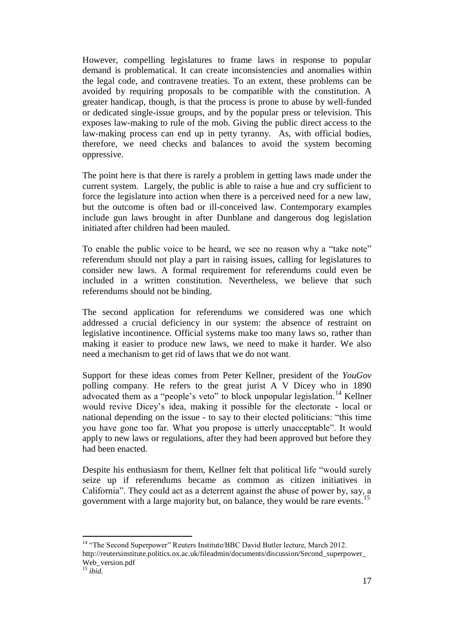However, compelling legislatures to frame laws in response to popular demand is problematical. It can create inconsistencies and anomalies within the legal code, and contravene treaties. To an extent, these problems can be avoided by requiring proposals to be compatible with the constitution. A greater handicap, though, is that the process is prone to abuse by well-funded or dedicated single-issue groups, and by the popular press or television. This exposes law-making to rule of the mob. Giving the public direct access to the law-making process can end up in petty tyranny. As, with official bodies, therefore, we need checks and balances to avoid the system becoming oppressive.

The point here is that there is rarely a problem in getting laws made under the current system. Largely, the public is able to raise a hue and cry sufficient to force the legislature into action when there is a perceived need for a new law, but the outcome is often bad or ill-conceived law. Contemporary examples include gun laws brought in after Dunblane and dangerous dog legislation initiated after children had been mauled.

To enable the public voice to be heard, we see no reason why a "take note" referendum should not play a part in raising issues, calling for legislatures to consider new laws. A formal requirement for referendums could even be included in a written constitution. Nevertheless, we believe that such referendums should not be binding.

The second application for referendums we considered was one which addressed a crucial deficiency in our system: the absence of restraint on legislative incontinence. Official systems make too many laws so, rather than making it easier to produce new laws, we need to make it harder. We also need a mechanism to get rid of laws that we do not want.

Support for these ideas comes from Peter Kellner, president of the *YouGov* polling company. He refers to the great jurist A V Dicey who in 1890 advocated them as a "people's veto" to block unpopular legislation.<sup>14</sup> Kellner would revive Dicey's idea, making it possible for the electorate - local or national depending on the issue - to say to their elected politicians: "this time you have gone too far. What you propose is utterly unacceptable". It would apply to new laws or regulations, after they had been approved but before they had been enacted.

Despite his enthusiasm for them, Kellner felt that political life "would surely seize up if referendums became as common as citizen initiatives in California". They could act as a deterrent against the abuse of power by, say, a government with a large majority but, on balance, they would be rare events.<sup>15</sup>

 $\overline{a}$ <sup>14</sup> "The Second Superpower" Reuters Institute/BBC David Butler lecture, March 2012. http://reutersinstitute.politics.ox.ac.uk/fileadmin/documents/discussion/Second\_superpower\_ Web version.pdf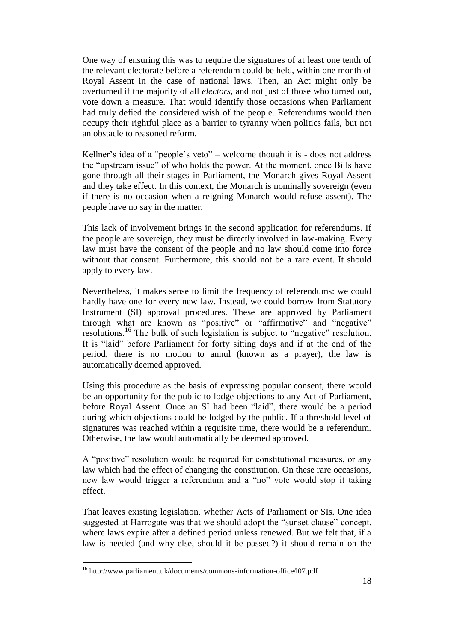One way of ensuring this was to require the signatures of at least one tenth of the relevant electorate before a referendum could be held, within one month of Royal Assent in the case of national laws. Then, an Act might only be overturned if the majority of all *electors*, and not just of those who turned out, vote down a measure. That would identify those occasions when Parliament had truly defied the considered wish of the people. Referendums would then occupy their rightful place as a barrier to tyranny when politics fails, but not an obstacle to reasoned reform.

Kellner's idea of a "people's veto" – welcome though it is - does not address the "upstream issue" of who holds the power. At the moment, once Bills have gone through all their stages in Parliament, the Monarch gives Royal Assent and they take effect. In this context, the Monarch is nominally sovereign (even if there is no occasion when a reigning Monarch would refuse assent). The people have no say in the matter.

This lack of involvement brings in the second application for referendums. If the people are sovereign, they must be directly involved in law-making. Every law must have the consent of the people and no law should come into force without that consent. Furthermore, this should not be a rare event. It should apply to every law.

Nevertheless, it makes sense to limit the frequency of referendums: we could hardly have one for every new law. Instead, we could borrow from Statutory Instrument (SI) approval procedures. These are approved by Parliament through what are known as "positive" or "affirmative" and "negative" resolutions.<sup>16</sup> The bulk of such legislation is subject to "negative" resolution. It is "laid" before Parliament for forty sitting days and if at the end of the period, there is no motion to annul (known as a prayer), the law is automatically deemed approved.

Using this procedure as the basis of expressing popular consent, there would be an opportunity for the public to lodge objections to any Act of Parliament, before Royal Assent. Once an SI had been "laid", there would be a period during which objections could be lodged by the public. If a threshold level of signatures was reached within a requisite time, there would be a referendum. Otherwise, the law would automatically be deemed approved.

A "positive" resolution would be required for constitutional measures, or any law which had the effect of changing the constitution. On these rare occasions, new law would trigger a referendum and a "no" vote would stop it taking effect.

That leaves existing legislation, whether Acts of Parliament or SIs. One idea suggested at Harrogate was that we should adopt the "sunset clause" concept, where laws expire after a defined period unless renewed. But we felt that, if a law is needed (and why else, should it be passed?) it should remain on the

<sup>16</sup> http://www.parliament.uk/documents/commons-information-office/l07.pdf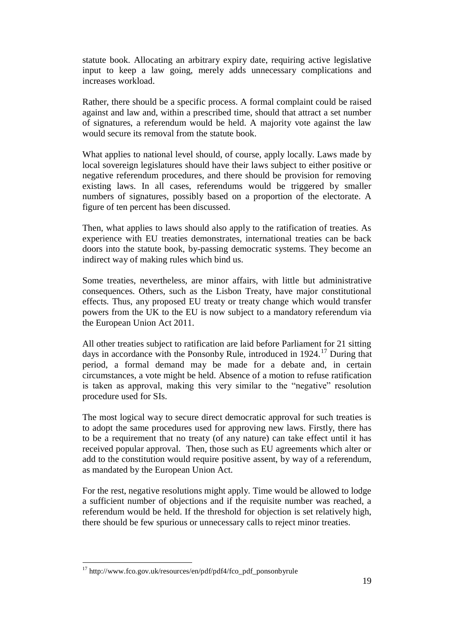statute book. Allocating an arbitrary expiry date, requiring active legislative input to keep a law going, merely adds unnecessary complications and increases workload.

Rather, there should be a specific process. A formal complaint could be raised against and law and, within a prescribed time, should that attract a set number of signatures, a referendum would be held. A majority vote against the law would secure its removal from the statute book.

What applies to national level should, of course, apply locally. Laws made by local sovereign legislatures should have their laws subject to either positive or negative referendum procedures, and there should be provision for removing existing laws. In all cases, referendums would be triggered by smaller numbers of signatures, possibly based on a proportion of the electorate. A figure of ten percent has been discussed.

Then, what applies to laws should also apply to the ratification of treaties. As experience with EU treaties demonstrates, international treaties can be back doors into the statute book, by-passing democratic systems. They become an indirect way of making rules which bind us.

Some treaties, nevertheless, are minor affairs, with little but administrative consequences. Others, such as the Lisbon Treaty, have major constitutional effects. Thus, any proposed EU treaty or treaty change which would transfer powers from the UK to the EU is now subject to a mandatory referendum via the European Union Act 2011.

All other treaties subject to ratification are laid before Parliament for 21 sitting days in accordance with the Ponsonby Rule, introduced in  $1924$ <sup>17</sup> During that period, a formal demand may be made for a debate and, in certain circumstances, a vote might be held. Absence of a motion to refuse ratification is taken as approval, making this very similar to the "negative" resolution procedure used for SIs.

The most logical way to secure direct democratic approval for such treaties is to adopt the same procedures used for approving new laws. Firstly, there has to be a requirement that no treaty (of any nature) can take effect until it has received popular approval. Then, those such as EU agreements which alter or add to the constitution would require positive assent, by way of a referendum, as mandated by the European Union Act.

For the rest, negative resolutions might apply. Time would be allowed to lodge a sufficient number of objections and if the requisite number was reached, a referendum would be held. If the threshold for objection is set relatively high, there should be few spurious or unnecessary calls to reject minor treaties.

<sup>&</sup>lt;sup>17</sup> http://www.fco.gov.uk/resources/en/pdf/pdf4/fco\_pdf\_ponsonbyrule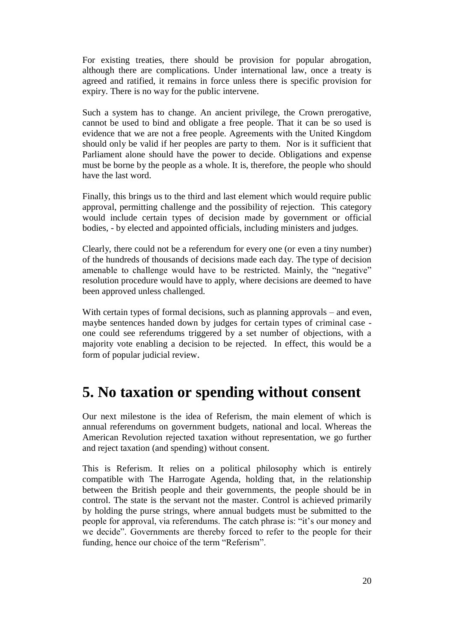For existing treaties, there should be provision for popular abrogation, although there are complications. Under international law, once a treaty is agreed and ratified, it remains in force unless there is specific provision for expiry. There is no way for the public intervene.

Such a system has to change. An ancient privilege, the Crown prerogative, cannot be used to bind and obligate a free people. That it can be so used is evidence that we are not a free people. Agreements with the United Kingdom should only be valid if her peoples are party to them. Nor is it sufficient that Parliament alone should have the power to decide. Obligations and expense must be borne by the people as a whole. It is, therefore, the people who should have the last word.

Finally, this brings us to the third and last element which would require public approval, permitting challenge and the possibility of rejection. This category would include certain types of decision made by government or official bodies, - by elected and appointed officials, including ministers and judges.

Clearly, there could not be a referendum for every one (or even a tiny number) of the hundreds of thousands of decisions made each day. The type of decision amenable to challenge would have to be restricted. Mainly, the "negative" resolution procedure would have to apply, where decisions are deemed to have been approved unless challenged.

With certain types of formal decisions, such as planning approvals – and even, maybe sentences handed down by judges for certain types of criminal case one could see referendums triggered by a set number of objections, with a majority vote enabling a decision to be rejected. In effect, this would be a form of popular judicial review.

#### <span id="page-19-0"></span>**5. No taxation or spending without consent**

Our next milestone is the idea of Referism, the main element of which is annual referendums on government budgets, national and local. Whereas the American Revolution rejected taxation without representation, we go further and reject taxation (and spending) without consent.

This is Referism. It relies on a political philosophy which is entirely compatible with The Harrogate Agenda, holding that, in the relationship between the British people and their governments, the people should be in control. The state is the servant not the master. Control is achieved primarily by holding the purse strings, where annual budgets must be submitted to the people for approval, via referendums. The catch phrase is: "it's our money and we decide". Governments are thereby forced to refer to the people for their funding, hence our choice of the term "Referism".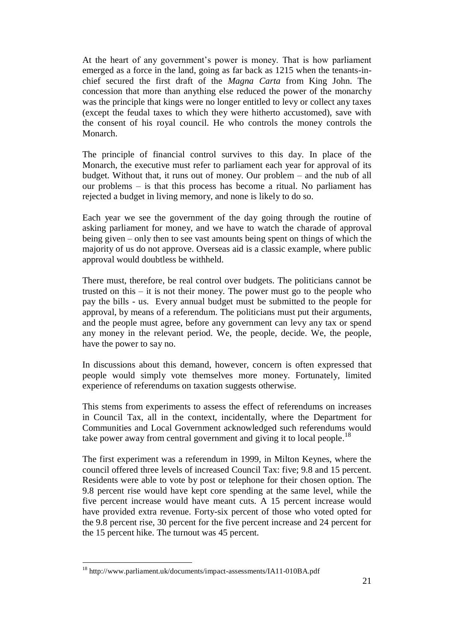At the heart of any government's power is money. That is how parliament emerged as a force in the land, going as far back as 1215 when the tenants-inchief secured the first draft of the *Magna Carta* from King John. The concession that more than anything else reduced the power of the monarchy was the principle that kings were no longer entitled to levy or collect any taxes (except the feudal taxes to which they were hitherto accustomed), save with the consent of his royal council. He who controls the money controls the Monarch.

The principle of financial control survives to this day. In place of the Monarch, the executive must refer to parliament each year for approval of its budget. Without that, it runs out of money. Our problem – and the nub of all our problems – is that this process has become a ritual. No parliament has rejected a budget in living memory, and none is likely to do so.

Each year we see the government of the day going through the routine of asking parliament for money, and we have to watch the charade of approval being given – only then to see vast amounts being spent on things of which the majority of us do not approve. Overseas aid is a classic example, where public approval would doubtless be withheld.

There must, therefore, be real control over budgets. The politicians cannot be trusted on this – it is not their money. The power must go to the people who pay the bills - us. Every annual budget must be submitted to the people for approval, by means of a referendum. The politicians must put their arguments, and the people must agree, before any government can levy any tax or spend any money in the relevant period. We, the people, decide. We, the people, have the power to say no.

In discussions about this demand, however, concern is often expressed that people would simply vote themselves more money. Fortunately, limited experience of referendums on taxation suggests otherwise.

This stems from experiments to assess the effect of referendums on increases in Council Tax, all in the context, incidentally, where the Department for Communities and Local Government acknowledged such referendums would take power away from central government and giving it to local people.<sup>18</sup>

The first experiment was a referendum in 1999, in Milton Keynes, where the council offered three levels of increased Council Tax: five; 9.8 and 15 percent. Residents were able to vote by post or telephone for their chosen option. The 9.8 percent rise would have kept core spending at the same level, while the five percent increase would have meant cuts. A 15 percent increase would have provided extra revenue. Forty-six percent of those who voted opted for the 9.8 percent rise, 30 percent for the five percent increase and 24 percent for the 15 percent hike. The turnout was 45 percent.

<sup>18</sup> http://www.parliament.uk/documents/impact-assessments/IA11-010BA.pdf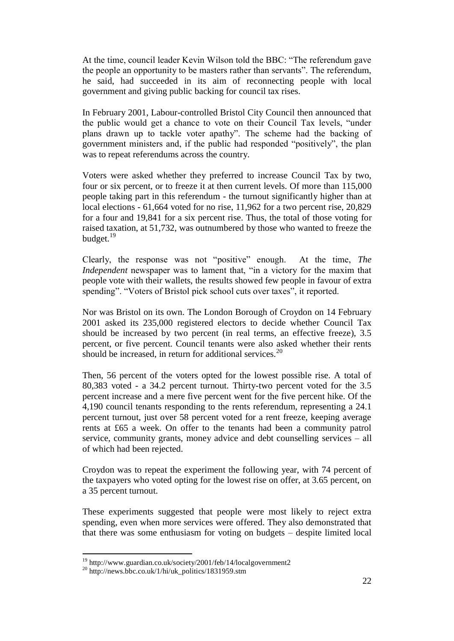At the time, council leader Kevin Wilson told the BBC: "The referendum gave the people an opportunity to be masters rather than servants". The referendum, he said, had succeeded in its aim of reconnecting people with local government and giving public backing for council tax rises.

In February 2001, Labour-controlled Bristol City Council then announced that the public would get a chance to vote on their Council Tax levels, "under plans drawn up to tackle voter apathy". The scheme had the backing of government ministers and, if the public had responded "positively", the plan was to repeat referendums across the country.

Voters were asked whether they preferred to increase Council Tax by two, four or six percent, or to freeze it at then current levels. Of more than 115,000 people taking part in this referendum - the turnout significantly higher than at local elections - 61,664 voted for no rise, 11,962 for a two percent rise, 20,829 for a four and 19,841 for a six percent rise. Thus, the total of those voting for raised taxation, at 51,732, was outnumbered by those who wanted to freeze the budget. $19$ 

Clearly, the response was not "positive" enough. At the time, *The Independent* newspaper was to lament that, "in a victory for the maxim that people vote with their wallets, the results showed few people in favour of extra spending". "Voters of Bristol pick school cuts over taxes", it reported.

Nor was Bristol on its own. The London Borough of Croydon on 14 February 2001 asked its 235,000 registered electors to decide whether Council Tax should be increased by two percent (in real terms, an effective freeze), 3.5 percent, or five percent. Council tenants were also asked whether their rents should be increased, in return for additional services.<sup>20</sup>

Then, 56 percent of the voters opted for the lowest possible rise. A total of 80,383 voted - a 34.2 percent turnout. Thirty-two percent voted for the 3.5 percent increase and a mere five percent went for the five percent hike. Of the 4,190 council tenants responding to the rents referendum, representing a 24.1 percent turnout, just over 58 percent voted for a rent freeze, keeping average rents at £65 a week. On offer to the tenants had been a community patrol service, community grants, money advice and debt counselling services – all of which had been rejected.

Croydon was to repeat the experiment the following year, with 74 percent of the taxpayers who voted opting for the lowest rise on offer, at 3.65 percent, on a 35 percent turnout.

These experiments suggested that people were most likely to reject extra spending, even when more services were offered. They also demonstrated that that there was some enthusiasm for voting on budgets – despite limited local

l

<sup>&</sup>lt;sup>19</sup> http://www.guardian.co.uk/society/2001/feb/14/localgovernment2

 $^{20}$  http://news.bbc.co.uk/1/hi/uk\_politics/1831959.stm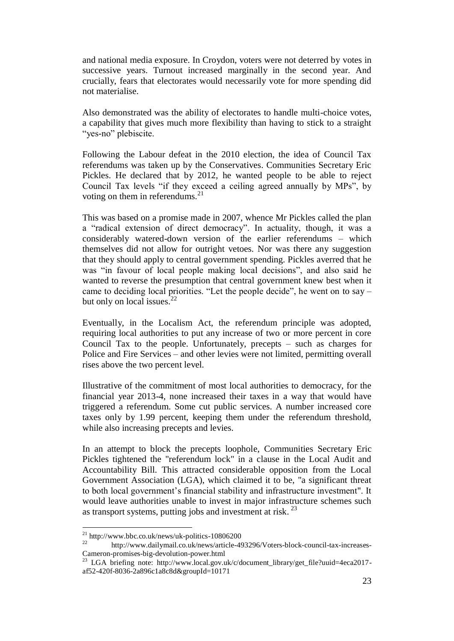and national media exposure. In Croydon, voters were not deterred by votes in successive years. Turnout increased marginally in the second year. And crucially, fears that electorates would necessarily vote for more spending did not materialise.

Also demonstrated was the ability of electorates to handle multi-choice votes, a capability that gives much more flexibility than having to stick to a straight "yes-no" plebiscite.

Following the Labour defeat in the 2010 election, the idea of Council Tax referendums was taken up by the Conservatives. Communities Secretary Eric Pickles. He declared that by 2012, he wanted people to be able to reject Council Tax levels "if they exceed a ceiling agreed annually by MPs", by voting on them in referendums. $^{21}$ 

This was based on a promise made in 2007, whence Mr Pickles called the plan a "radical extension of direct democracy". In actuality, though, it was a considerably watered-down version of the earlier referendums – which themselves did not allow for outright vetoes. Nor was there any suggestion that they should apply to central government spending. Pickles averred that he was "in favour of local people making local decisions", and also said he wanted to reverse the presumption that central government knew best when it came to deciding local priorities. "Let the people decide", he went on to say – but only on local issues. $^{22}$ 

Eventually, in the Localism Act, the referendum principle was adopted, requiring local authorities to put any increase of two or more percent in core Council Tax to the people. Unfortunately, precepts – such as charges for Police and Fire Services – and other levies were not limited, permitting overall rises above the two percent level.

Illustrative of the commitment of most local authorities to democracy, for the financial year 2013-4, none increased their taxes in a way that would have triggered a referendum. Some cut public services. A number increased core taxes only by 1.99 percent, keeping them under the referendum threshold, while also increasing precepts and levies.

In an attempt to block the precepts loophole, Communities Secretary Eric Pickles tightened the "referendum lock" in a clause in the Local Audit and Accountability Bill. This attracted considerable opposition from the Local Government Association (LGA), which claimed it to be, "a significant threat to both local government's financial stability and infrastructure investment". It would leave authorities unable to invest in major infrastructure schemes such as transport systems, putting jobs and investment at risk.<sup>23</sup>

l

<sup>&</sup>lt;sup>21</sup> http://www.bbc.co.uk/news/uk-politics-10806200<br><sup>22</sup> http://www.bbc.co.uk/news/uk-politics-10806200

<sup>22</sup> http://www.dailymail.co.uk/news/article-493296/Voters-block-council-tax-increases-Cameron-promises-big-devolution-power.html

<sup>&</sup>lt;sup>23</sup> LGA briefing note: http://www.local.gov.uk/c/document\_library/get\_file?uuid=4eca2017af52-420f-8036-2a896c1a8c8d&groupId=10171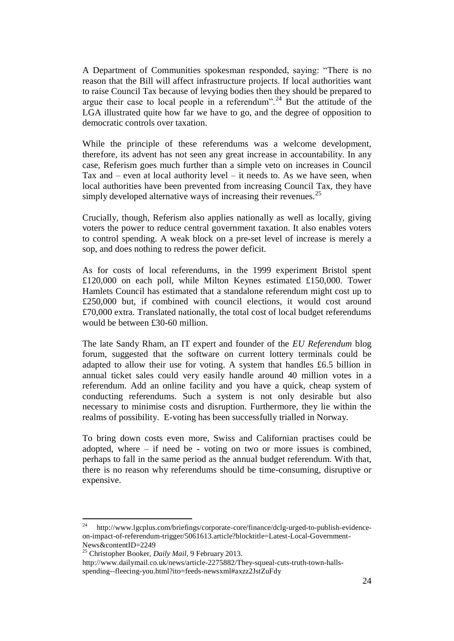A Department of Communities spokesman responded, saying: "There is no reason that the Bill will affect infrastructure projects. If local authorities want to raise Council Tax because of levying bodies then they should be prepared to argue their case to local people in a referendum".<sup>24</sup> But the attitude of the LGA illustrated quite how far we have to go, and the degree of opposition to democratic controls over taxation.

While the principle of these referendums was a welcome development, therefore, its advent has not seen any great increase in accountability. In any case, Referism goes much further than a simple veto on increases in Council Tax and  $-$  even at local authority level  $-$  it needs to. As we have seen, when local authorities have been prevented from increasing Council Tax, they have simply developed alternative ways of increasing their revenues.<sup>25</sup>

Crucially, though, Referism also applies nationally as well as locally, giving voters the power to reduce central government taxation. It also enables voters to control spending. A weak block on a pre-set level of increase is merely a sop, and does nothing to redress the power deficit.

As for costs of local referendums, in the 1999 experiment Bristol spent £120,000 on each poll, while Milton Keynes estimated £150,000. Tower Hamlets Council has estimated that a standalone referendum might cost up to £250,000 but, if combined with council elections, it would cost around £70,000 extra. Translated nationally, the total cost of local budget referendums would be between £30-60 million.

The late Sandy Rham, an IT expert and founder of the *EU Referendum* blog forum, suggested that the software on current lottery terminals could be adapted to allow their use for voting. A system that handles £6.5 billion in annual ticket sales could very easily handle around 40 million votes in a referendum. Add an online facility and you have a quick, cheap system of conducting referendums. Such a system is not only desirable but also necessary to minimise costs and disruption. Furthermore, they lie within the realms of possibility. E-voting has been successfully trialled in Norway.

To bring down costs even more, Swiss and Californian practises could be adopted, where  $-$  if need be - voting on two or more issues is combined, perhaps to fall in the same period as the annual budget referendum. With that, there is no reason why referendums should be time-consuming, disruptive or expensive.

<sup>24</sup> http://www.lgcplus.com/briefings/corporate-core/finance/dclg-urged-to-publish-evidenceon-impact-of-referendum-trigger/5061613.article?blocktitle=Latest-Local-Government-News&contentID=2249

<sup>25</sup> Christopher Booker, *Daily Mail*, 9 February 2013.

http://www.dailymail.co.uk/news/article-2275882/They-squeal-cuts-truth-town-hallsspending--fleecing-you.html?ito=feeds-newsxml#axzz2JstZuFdy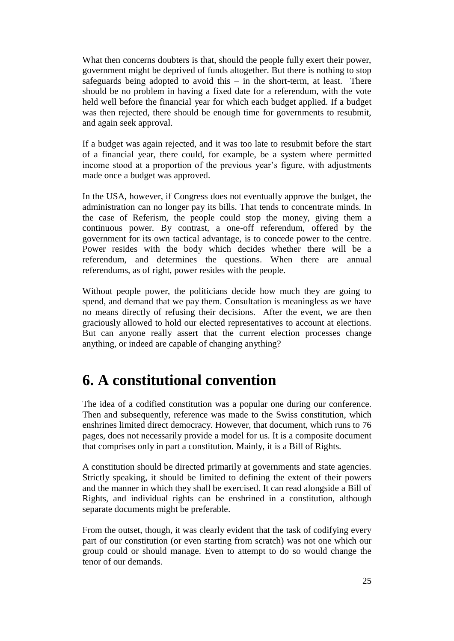What then concerns doubters is that, should the people fully exert their power, government might be deprived of funds altogether. But there is nothing to stop safeguards being adopted to avoid this – in the short-term, at least. There should be no problem in having a fixed date for a referendum, with the vote held well before the financial year for which each budget applied. If a budget was then rejected, there should be enough time for governments to resubmit, and again seek approval.

If a budget was again rejected, and it was too late to resubmit before the start of a financial year, there could, for example, be a system where permitted income stood at a proportion of the previous year's figure, with adjustments made once a budget was approved.

In the USA, however, if Congress does not eventually approve the budget, the administration can no longer pay its bills. That tends to concentrate minds. In the case of Referism, the people could stop the money, giving them a continuous power. By contrast, a one-off referendum, offered by the government for its own tactical advantage, is to concede power to the centre. Power resides with the body which decides whether there will be a referendum, and determines the questions. When there are annual referendums, as of right, power resides with the people.

Without people power, the politicians decide how much they are going to spend, and demand that we pay them. Consultation is meaningless as we have no means directly of refusing their decisions. After the event, we are then graciously allowed to hold our elected representatives to account at elections. But can anyone really assert that the current election processes change anything, or indeed are capable of changing anything?

#### <span id="page-24-0"></span>**6. A constitutional convention**

The idea of a codified constitution was a popular one during our conference. Then and subsequently, reference was made to the Swiss constitution, which enshrines limited direct democracy. However, that document, which runs to 76 pages, does not necessarily provide a model for us. It is a composite document that comprises only in part a constitution. Mainly, it is a Bill of Rights.

A constitution should be directed primarily at governments and state agencies. Strictly speaking, it should be limited to defining the extent of their powers and the manner in which they shall be exercised. It can read alongside a Bill of Rights, and individual rights can be enshrined in a constitution, although separate documents might be preferable.

From the outset, though, it was clearly evident that the task of codifying every part of our constitution (or even starting from scratch) was not one which our group could or should manage. Even to attempt to do so would change the tenor of our demands.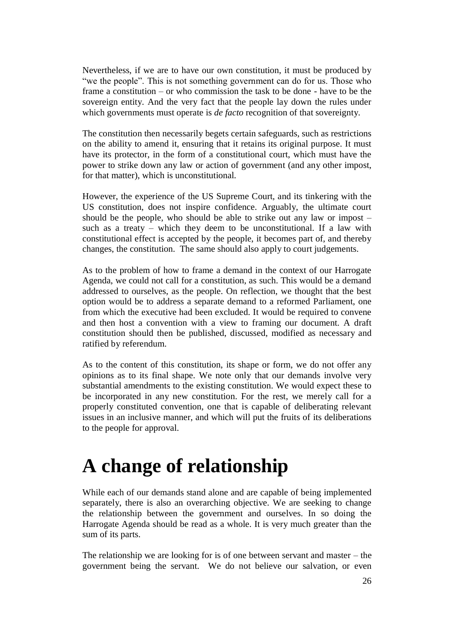Nevertheless, if we are to have our own constitution, it must be produced by "we the people". This is not something government can do for us. Those who frame a constitution – or who commission the task to be done - have to be the sovereign entity. And the very fact that the people lay down the rules under which governments must operate is *de facto* recognition of that sovereignty.

The constitution then necessarily begets certain safeguards, such as restrictions on the ability to amend it, ensuring that it retains its original purpose. It must have its protector, in the form of a constitutional court, which must have the power to strike down any law or action of government (and any other impost, for that matter), which is unconstitutional.

However, the experience of the US Supreme Court, and its tinkering with the US constitution, does not inspire confidence. Arguably, the ultimate court should be the people, who should be able to strike out any law or impost – such as a treaty – which they deem to be unconstitutional. If a law with constitutional effect is accepted by the people, it becomes part of, and thereby changes, the constitution. The same should also apply to court judgements.

As to the problem of how to frame a demand in the context of our Harrogate Agenda, we could not call for a constitution, as such. This would be a demand addressed to ourselves, as the people. On reflection, we thought that the best option would be to address a separate demand to a reformed Parliament, one from which the executive had been excluded. It would be required to convene and then host a convention with a view to framing our document. A draft constitution should then be published, discussed, modified as necessary and ratified by referendum.

As to the content of this constitution, its shape or form, we do not offer any opinions as to its final shape. We note only that our demands involve very substantial amendments to the existing constitution. We would expect these to be incorporated in any new constitution. For the rest, we merely call for a properly constituted convention, one that is capable of deliberating relevant issues in an inclusive manner, and which will put the fruits of its deliberations to the people for approval.

### <span id="page-25-0"></span>**A change of relationship**

While each of our demands stand alone and are capable of being implemented separately, there is also an overarching objective. We are seeking to change the relationship between the government and ourselves. In so doing the Harrogate Agenda should be read as a whole. It is very much greater than the sum of its parts.

The relationship we are looking for is of one between servant and master – the government being the servant. We do not believe our salvation, or even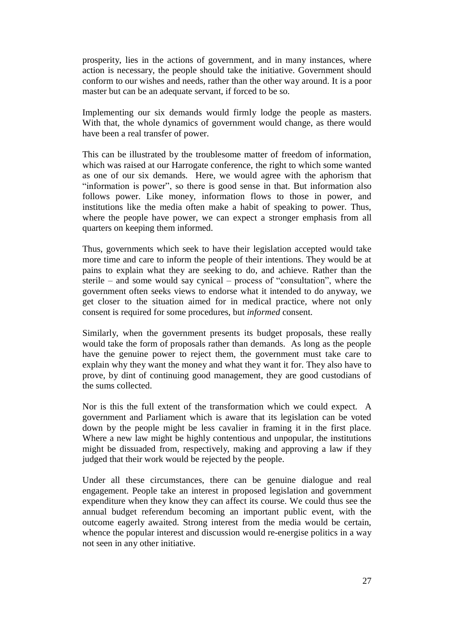prosperity, lies in the actions of government, and in many instances, where action is necessary, the people should take the initiative. Government should conform to our wishes and needs, rather than the other way around. It is a poor master but can be an adequate servant, if forced to be so.

Implementing our six demands would firmly lodge the people as masters. With that, the whole dynamics of government would change, as there would have been a real transfer of power.

This can be illustrated by the troublesome matter of freedom of information, which was raised at our Harrogate conference, the right to which some wanted as one of our six demands. Here, we would agree with the aphorism that "information is power", so there is good sense in that. But information also follows power. Like money, information flows to those in power, and institutions like the media often make a habit of speaking to power. Thus, where the people have power, we can expect a stronger emphasis from all quarters on keeping them informed.

Thus, governments which seek to have their legislation accepted would take more time and care to inform the people of their intentions. They would be at pains to explain what they are seeking to do, and achieve. Rather than the sterile – and some would say cynical – process of "consultation", where the government often seeks views to endorse what it intended to do anyway, we get closer to the situation aimed for in medical practice, where not only consent is required for some procedures, but *informed* consent.

Similarly, when the government presents its budget proposals, these really would take the form of proposals rather than demands. As long as the people have the genuine power to reject them, the government must take care to explain why they want the money and what they want it for. They also have to prove, by dint of continuing good management, they are good custodians of the sums collected.

Nor is this the full extent of the transformation which we could expect. A government and Parliament which is aware that its legislation can be voted down by the people might be less cavalier in framing it in the first place. Where a new law might be highly contentious and unpopular, the institutions might be dissuaded from, respectively, making and approving a law if they judged that their work would be rejected by the people.

Under all these circumstances, there can be genuine dialogue and real engagement. People take an interest in proposed legislation and government expenditure when they know they can affect its course. We could thus see the annual budget referendum becoming an important public event, with the outcome eagerly awaited. Strong interest from the media would be certain, whence the popular interest and discussion would re-energise politics in a way not seen in any other initiative.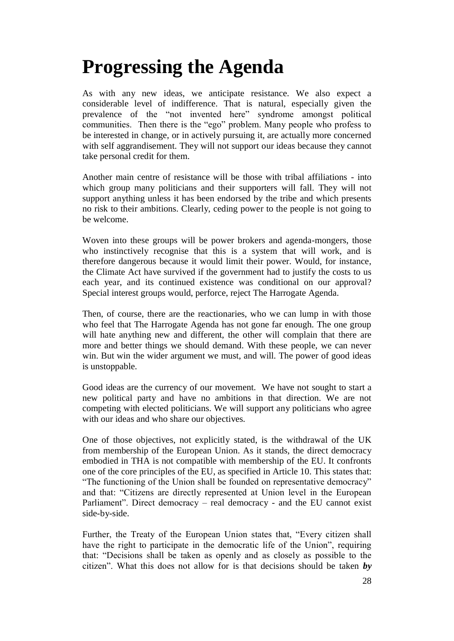## <span id="page-27-0"></span>**Progressing the Agenda**

As with any new ideas, we anticipate resistance. We also expect a considerable level of indifference. That is natural, especially given the prevalence of the "not invented here" syndrome amongst political communities. Then there is the "ego" problem. Many people who profess to be interested in change, or in actively pursuing it, are actually more concerned with self aggrandisement. They will not support our ideas because they cannot take personal credit for them.

Another main centre of resistance will be those with tribal affiliations - into which group many politicians and their supporters will fall. They will not support anything unless it has been endorsed by the tribe and which presents no risk to their ambitions. Clearly, ceding power to the people is not going to be welcome.

Woven into these groups will be power brokers and agenda-mongers, those who instinctively recognise that this is a system that will work, and is therefore dangerous because it would limit their power. Would, for instance, the Climate Act have survived if the government had to justify the costs to us each year, and its continued existence was conditional on our approval? Special interest groups would, perforce, reject The Harrogate Agenda.

Then, of course, there are the reactionaries, who we can lump in with those who feel that The Harrogate Agenda has not gone far enough. The one group will hate anything new and different, the other will complain that there are more and better things we should demand. With these people, we can never win. But win the wider argument we must, and will. The power of good ideas is unstoppable.

Good ideas are the currency of our movement. We have not sought to start a new political party and have no ambitions in that direction. We are not competing with elected politicians. We will support any politicians who agree with our ideas and who share our objectives.

One of those objectives, not explicitly stated, is the withdrawal of the UK from membership of the European Union. As it stands, the direct democracy embodied in THA is not compatible with membership of the EU. It confronts one of the core principles of the EU, as specified in Article 10. This states that: "The functioning of the Union shall be founded on representative democracy" and that: "Citizens are directly represented at Union level in the European Parliament". Direct democracy – real democracy - and the EU cannot exist side-by-side.

Further, the Treaty of the European Union states that, "Every citizen shall have the right to participate in the democratic life of the Union", requiring that: "Decisions shall be taken as openly and as closely as possible to the citizen". What this does not allow for is that decisions should be taken *by*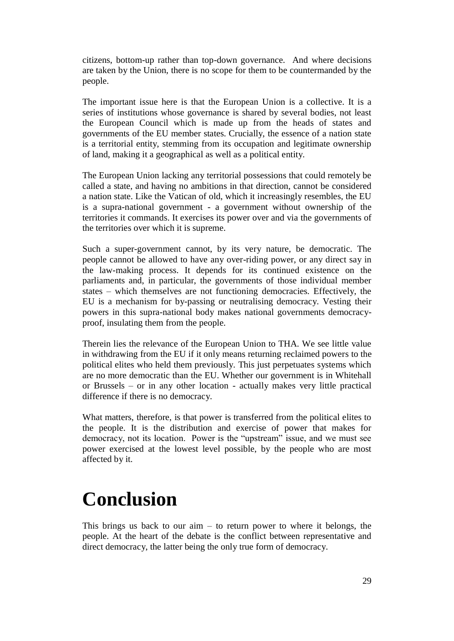citizens, bottom-up rather than top-down governance. And where decisions are taken by the Union, there is no scope for them to be countermanded by the people.

The important issue here is that the European Union is a collective. It is a series of institutions whose governance is shared by several bodies, not least the European Council which is made up from the heads of states and governments of the EU member states. Crucially, the essence of a nation state is a territorial entity, stemming from its occupation and legitimate ownership of land, making it a geographical as well as a political entity.

The European Union lacking any territorial possessions that could remotely be called a state, and having no ambitions in that direction, cannot be considered a nation state. Like the Vatican of old, which it increasingly resembles, the EU is a supra-national government - a government without ownership of the territories it commands. It exercises its power over and via the governments of the territories over which it is supreme.

Such a super-government cannot, by its very nature, be democratic. The people cannot be allowed to have any over-riding power, or any direct say in the law-making process. It depends for its continued existence on the parliaments and, in particular, the governments of those individual member states – which themselves are not functioning democracies. Effectively, the EU is a mechanism for by-passing or neutralising democracy. Vesting their powers in this supra-national body makes national governments democracyproof, insulating them from the people.

Therein lies the relevance of the European Union to THA. We see little value in withdrawing from the EU if it only means returning reclaimed powers to the political elites who held them previously. This just perpetuates systems which are no more democratic than the EU. Whether our government is in Whitehall or Brussels – or in any other location - actually makes very little practical difference if there is no democracy.

What matters, therefore, is that power is transferred from the political elites to the people. It is the distribution and exercise of power that makes for democracy, not its location. Power is the "upstream" issue, and we must see power exercised at the lowest level possible, by the people who are most affected by it.

### <span id="page-28-0"></span>**Conclusion**

This brings us back to our aim  $-$  to return power to where it belongs, the people. At the heart of the debate is the conflict between representative and direct democracy, the latter being the only true form of democracy.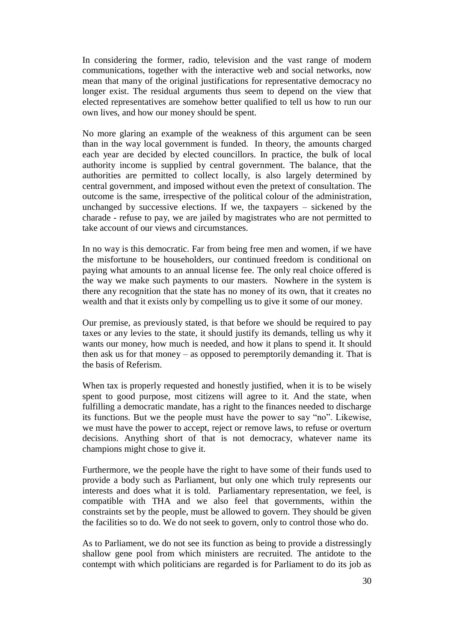In considering the former, radio, television and the vast range of modern communications, together with the interactive web and social networks, now mean that many of the original justifications for representative democracy no longer exist. The residual arguments thus seem to depend on the view that elected representatives are somehow better qualified to tell us how to run our own lives, and how our money should be spent.

No more glaring an example of the weakness of this argument can be seen than in the way local government is funded. In theory, the amounts charged each year are decided by elected councillors. In practice, the bulk of local authority income is supplied by central government. The balance, that the authorities are permitted to collect locally, is also largely determined by central government, and imposed without even the pretext of consultation. The outcome is the same, irrespective of the political colour of the administration, unchanged by successive elections. If we, the taxpayers – sickened by the charade - refuse to pay, we are jailed by magistrates who are not permitted to take account of our views and circumstances.

In no way is this democratic. Far from being free men and women, if we have the misfortune to be householders, our continued freedom is conditional on paying what amounts to an annual license fee. The only real choice offered is the way we make such payments to our masters. Nowhere in the system is there any recognition that the state has no money of its own, that it creates no wealth and that it exists only by compelling us to give it some of our money.

Our premise, as previously stated, is that before we should be required to pay taxes or any levies to the state, it should justify its demands, telling us why it wants our money, how much is needed, and how it plans to spend it. It should then ask us for that money – as opposed to peremptorily demanding it. That is the basis of Referism.

When tax is properly requested and honestly justified, when it is to be wisely spent to good purpose, most citizens will agree to it. And the state, when fulfilling a democratic mandate, has a right to the finances needed to discharge its functions. But we the people must have the power to say "no". Likewise, we must have the power to accept, reject or remove laws, to refuse or overturn decisions. Anything short of that is not democracy, whatever name its champions might chose to give it.

Furthermore, we the people have the right to have some of their funds used to provide a body such as Parliament, but only one which truly represents our interests and does what it is told. Parliamentary representation, we feel, is compatible with THA and we also feel that governments, within the constraints set by the people, must be allowed to govern. They should be given the facilities so to do. We do not seek to govern, only to control those who do.

As to Parliament, we do not see its function as being to provide a distressingly shallow gene pool from which ministers are recruited. The antidote to the contempt with which politicians are regarded is for Parliament to do its job as